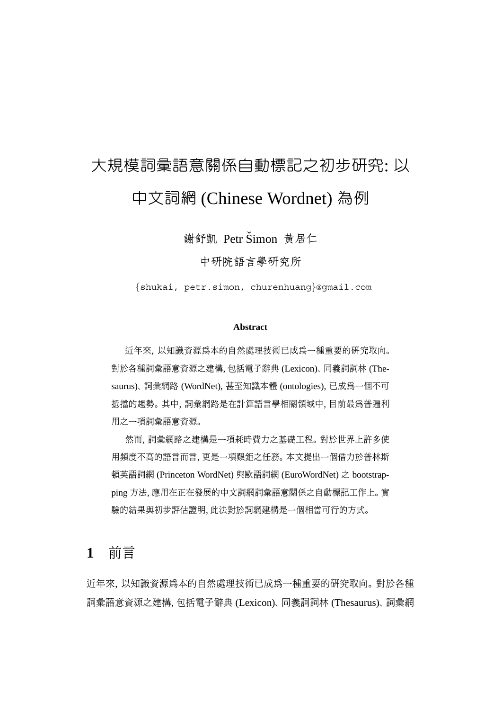# 大規模詞彙語意關係自動標記之初步研究: 以 中文詞網 (Chinese Wordnet) 為例

謝舒凱 Petr Šimon 黄居仁

中研院語言學研究所

{shukai, petr.simon, churenhuang}@gmail.com

#### **Abstract**

近年來, 以知識資源為本的自然處理技術已成為一種重要的研究取向。 對於各種詞彙語意資源之建構, 包括電子辭典 (Lexicon)、 同義詞詞林 (Thesaurus)、 詞彙網路 (WordNet), 甚至知識本體 (ontologies), 已成為一個不可 抵擋的趨勢。 其中, 詞彙網路是在計算語言學相關領域中, 目前最為普遍利 用之一項詞彙語意資源。

然而, 詞彙網路之建構是一項耗時費力之基礎工程。 對於世界上許多使 用頻度不高的語言而言, 更是一項艱鉅之任務。 本文提出一個借力於普林斯 頓英語詞網 (Princeton WordNet) 與歐語詞網 (EuroWordNet) 之 bootstrapping 方法, 應用在正在發展的中文詞網詞彙語意關係之自動標記工作上。 實 驗的結果與初步評估證明, 此法對於詞網建構是一個相當可行的方式。

# **1** 前言

近年來, 以知識資源為本的自然處理技術已成為一種重要的研究取向。 對於各種 詞彙語意資源之建構, 包括電子辭典 (Lexicon)、 同義詞詞林 (Thesaurus)、 詞彙網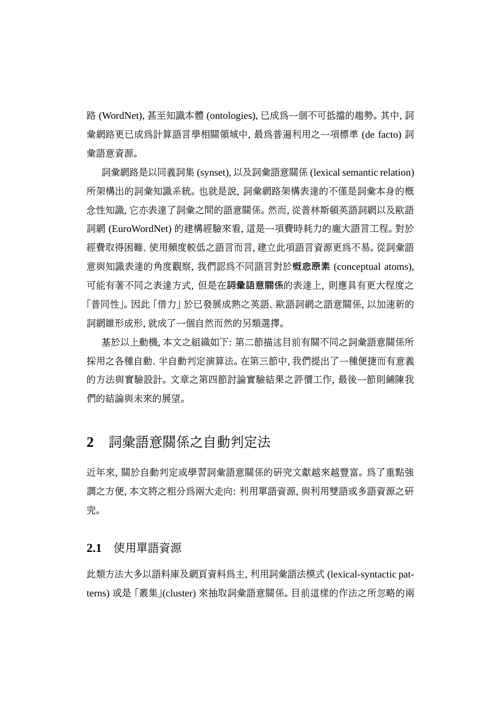路 (WordNet), 甚至知識本體 (ontologies), 已成為一個不可抵擋的趨勢。 其中, 詞 彙網路更已成為計算語言學相關領域中, 最為普遍利用之一項標準 (de facto) 詞 彙語意資源。

詞彙網路是以同義詞集 (synset), 以及詞彙語意關係 (lexical semantic relation) 所架構出的詞彙知識系統。 也就是說, 詞彙網路架構表達的不僅是詞彙本身的概 念性知識, 它亦表達了詞彙之間的語意關係。 然而, 從普林斯頓英語詞網以及歐語 詞網 (EuroWordNet) 的建構經驗來看, 這是一項費時耗力的龐大語言工程。 對於 經費取得困難、 使用頻度較低之語言而言, 建立此項語言資源更為不易。 從詞彙語 意與知識表達的角度觀察, 我們認為不同語言對於概念原素 (conceptual atoms), 可能有著不同之表達方式, 但是在詞彙語意關係的表達上, 則應具有更大程度之 「普同性」。因此「借力」 於已發展成熟之英語、 歐語詞網之語意關係, 以加速新的 詞網雛形成形, 就成了一個自然而然的另類選擇。

基於以上動機, 本文之組織如下: 第二節描述目前有關不同之詞彙語意關係所 採用之各種自動、 半自動判定演算法。 在第三節中, 我們提出了一種便捷而有意義 的方法與實驗設計。 文章之第四節討論實驗結果之評價工作, 最後一節則鋪陳我 們的結論與未來的展望。

# **2** 詞彙語意關係之自動判定法

近年來, 關於自動判定或學習詞彙語意關係的研究文獻越來越豐富。 為了重點強 調之方便, 本文將之粗分為兩大走向: 利用單語資源, 與利用雙語或多語資源之研 究。

#### **2.1** 使用單語資源

此類方法大多以語料庫及網頁資料為主, 利用詞彙語法模式 (lexical-syntactic patterns) 或是 「叢集」(cluster) 來抽取詞彙語意關係。 目前這樣的作法之所忽略的兩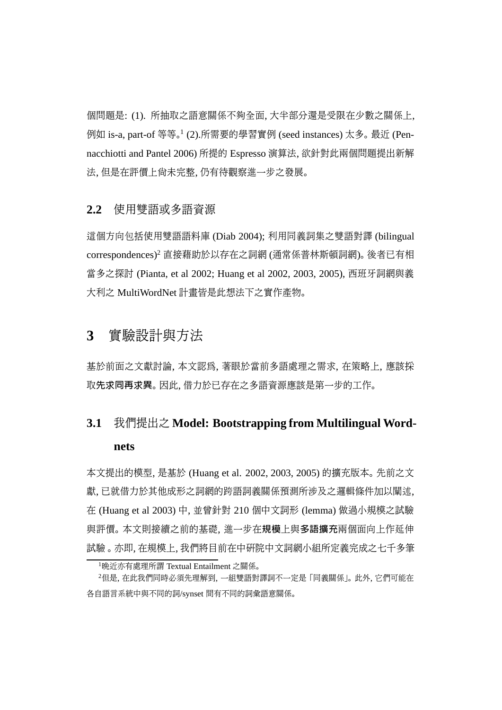個問題是: (1). 所抽取之語意關係不夠全面, 大半部分還是受限在少數之關係上, 例如 is-a, part-of 等等。<sup>1</sup> (2).所需要的學習實例 (seed instances) 太多。 最近 (Pennacchiotti and Pantel 2006) 所提的 Espresso 演算法, 欲針對此兩個問題提出新解 法, 但是在評價上尚未完整, 仍有待觀察進一步之發展。

#### **2.2** 使用雙語或多語資源

這個方向包括使用雙語語料庫 (Diab 2004); 利用同義詞集之雙語對譯 (bilingual correspondences)2 直接藉助於以存在之詞網 (通常係普林斯頓詞網)。 後者已有相 當多之探討 (Pianta, et al 2002; Huang et al 2002, 2003, 2005), 西班牙詞網與義 大利之 MultiWordNet 計畫皆是此想法下之實作產物。

# **3** 實驗設計與方法

基於前面之文獻討論, 本文認為, 著眼於當前多語處理之需求, 在策略上, 應該採 取先求同再求異。因此, 借力於已存在之多語資源應該是第一步的工作。

# **3.1** 我們提出之 **Model: Bootstrapping from Multilingual Wordnets**

本文提出的模型, 是基於 (Huang et al. 2002, 2003, 2005) 的擴充版本。 先前之文 獻, 已就借力於其他成形之詞網的跨語詞義關係預測所涉及之邏輯條件加以闡述, 在 (Huang et al 2003) 中, 並曾針對 210 個中文詞形 (lemma) 做過小規模之試驗 與評價。 本文則接續之前的基礎, 進一步在規模上與多語擴充兩個面向上作延伸 試驗 。 亦即, 在規模上, 我們將目前在中研院中文詞網小組所定義完成之七千多筆

<sup>1</sup>晚近亦有處理所謂 Textual Entailment 之關係。

<sup>2</sup>但是, 在此我們同時必須先理解到, 一組雙語對譯詞不一定是 「同義關係」。 此外, 它們可能在 各自語言系統中與不同的詞/synset 間有不同的詞彙語意關係。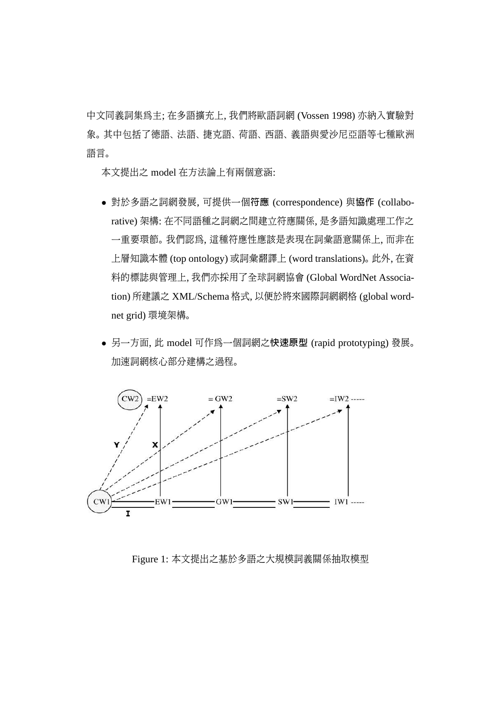中文同義詞集為主; 在多語擴充上, 我們將歐語詞網 (Vossen 1998) 亦納入實驗對 象。 其中包括了德語、 法語、 捷克語、 荷語、 西語、 義語與愛沙尼亞語等七種歐洲 語言。

本文提出之 model 在方法論上有兩個意涵:

- 對於多語之詞網發展, 可提供一個符應 (correspondence) 與協作 (collaborative) 架構: 在不同語種之詞網之間建立符應關係, 是多語知識處理工作之 一重要環節。 我們認為, 這種符應性應該是表現在詞彙語意關係上, 而非在 上層知識本體 (top ontology) 或詞彙翻譯上 (word translations)。 此外, 在資 料的標誌與管理上, 我們亦採用了全球詞網協會 (Global WordNet Association) 所建議之 XML/Schema 格式, 以便於將來國際詞網網格 (global wordnet grid) 環境架構。
- 另一方面, 此 model 可作為一個詞網之快速原型 (rapid prototyping) 發展。 加速詞網核心部分建構之過程。



Figure 1: 本文提出之基於多語之大規模詞義關係抽取模型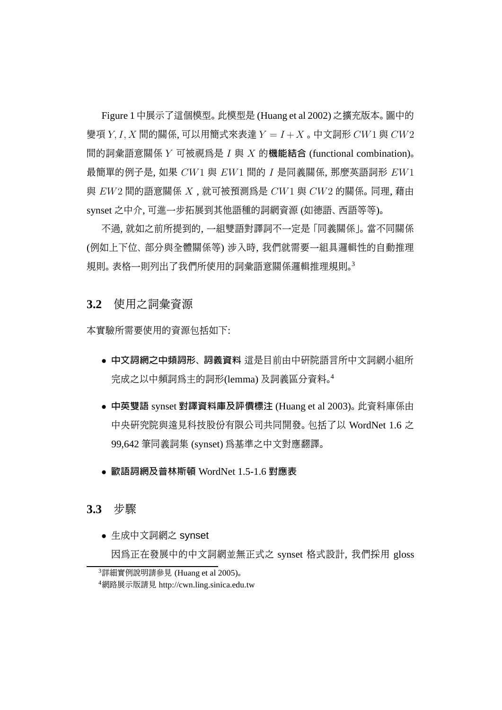Figure 1 中展示了這個模型。 此模型是 (Huang et al 2002) 之擴充版本。 圖中的 變項  $Y, I, X$  間的關係, 可以用簡式來表達  $Y = I + X$ 。中文詞形  $CW1$  與  $CW2$ 間的詞彙語意關係 Y 可被視為是 I 與 X 的機能結合 (functional combination)。 最簡單的例子是, 如果  $CW1$  與  $EW1$  間的  $I$  是同義關係, 那麼英語詞形  $EW1$ 與  $EW2$  間的語意關係  $X$ , 就可被預測為是  $CW1$  與  $CW2$  的關係。同理, 藉由 synset 之中介, 可進一步拓展到其他語種的詞網資源 (如德語、西語等等)。

不過, 就如之前所提到的, 一組雙語對譯詞不一定是 「同義關係」。 當不同關係 (例如上下位、 部分與全體關係等) 涉入時, 我們就需要一組具邏輯性的自動推理 規則。 表格一則列出了我們所使用的詞彙語意關係邏輯推理規則。3

#### **3.2** 使用之詞彙資源

本實驗所需要使用的資源包括如下:

- 中文詞網之中頻詞形、 詞義資料 這是目前由中研院語言所中文詞網小組所 完成之以中頻詞為主的詞形(lemma) 及詞義區分資料。<sup>4</sup>
- 中英雙語 synset 對譯資料庫及評價標注 (Huang et al 2003)。 此資料庫係由 中央研究院與遠見科技股份有限公司共同開發。 包括了以 WordNet 1.6 之 99,642 筆同義詞集 (synset) 為基準之中文對應翻譯。
- 歐語詞網及普林斯頓 WordNet 1.5-1.6 對應表

#### **3.3** 步驟

• 生成中文詞網之 synset

因為正在發展中的中文詞網並無正式之 synset 格式設計, 我們採用 gloss

<sup>3</sup>詳細實例說明請參見 (Huang et al 2005)。

<sup>4</sup>網路展示版請見 http://cwn.ling.sinica.edu.tw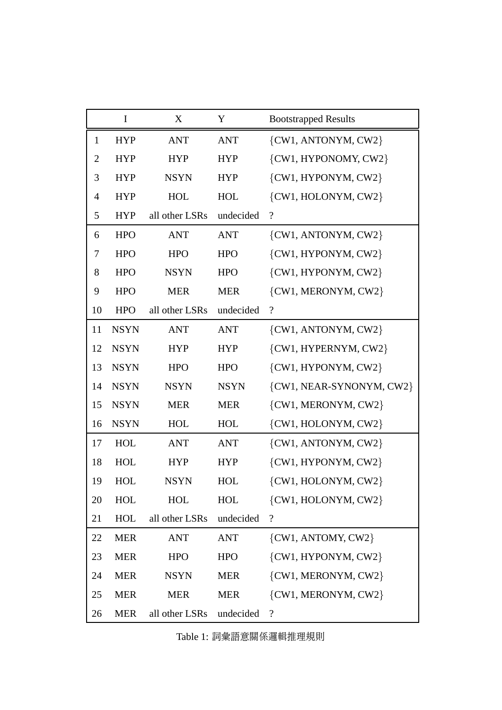|                | $\bf{I}$    | X              | Y           | <b>Bootstrapped Results</b> |
|----------------|-------------|----------------|-------------|-----------------------------|
| $\mathbf{1}$   | <b>HYP</b>  | <b>ANT</b>     | <b>ANT</b>  | {CW1, ANTONYM, CW2}         |
| $\overline{2}$ | <b>HYP</b>  | <b>HYP</b>     | <b>HYP</b>  | {CW1, HYPONOMY, CW2}        |
| 3              | <b>HYP</b>  | <b>NSYN</b>    | <b>HYP</b>  | {CW1, HYPONYM, CW2}         |
| 4              | <b>HYP</b>  | <b>HOL</b>     | <b>HOL</b>  | {CW1, HOLONYM, CW2}         |
| 5              | <b>HYP</b>  | all other LSRs | undecided   | $\overline{\mathcal{L}}$    |
| 6              | <b>HPO</b>  | <b>ANT</b>     | <b>ANT</b>  | $\{CW1, ANTONYM, CW2\}$     |
| 7              | <b>HPO</b>  | <b>HPO</b>     | <b>HPO</b>  | {CW1, HYPONYM, CW2}         |
| 8              | <b>HPO</b>  | <b>NSYN</b>    | <b>HPO</b>  | {CW1, HYPONYM, CW2}         |
| 9              | <b>HPO</b>  | <b>MER</b>     | <b>MER</b>  | {CW1, MERONYM, CW2}         |
| 10             | <b>HPO</b>  | all other LSRs | undecided   | $\overline{\mathcal{L}}$    |
| 11             | <b>NSYN</b> | <b>ANT</b>     | <b>ANT</b>  | $\{CW1, ANTONYM, CW2\}$     |
| 12             | <b>NSYN</b> | <b>HYP</b>     | <b>HYP</b>  | {CW1, HYPERNYM, CW2}        |
| 13             | <b>NSYN</b> | <b>HPO</b>     | <b>HPO</b>  | {CW1, HYPONYM, CW2}         |
| 14             | <b>NSYN</b> | <b>NSYN</b>    | <b>NSYN</b> | {CW1, NEAR-SYNONYM, CW2}    |
| 15             | <b>NSYN</b> | <b>MER</b>     | <b>MER</b>  | {CW1, MERONYM, CW2}         |
| 16             | <b>NSYN</b> | <b>HOL</b>     | <b>HOL</b>  | {CW1, HOLONYM, CW2}         |
| 17             | <b>HOL</b>  | <b>ANT</b>     | <b>ANT</b>  | {CW1, ANTONYM, CW2}         |
| 18             | <b>HOL</b>  | <b>HYP</b>     | <b>HYP</b>  | {CW1, HYPONYM, CW2}         |
| 19             | <b>HOL</b>  | <b>NSYN</b>    | <b>HOL</b>  | $\{CW1, HOLONYM, CW2\}$     |
| 20             | HOL         | <b>HOL</b>     | HOL         | $\{CW1, HOLONYM, CW2\}$     |
| 21             | <b>HOL</b>  | all other LSRs | undecided   | $\overline{\mathcal{L}}$    |
| 22             | <b>MER</b>  | <b>ANT</b>     | <b>ANT</b>  | $\{CW1, ANTOMY, CW2\}$      |
| 23             | <b>MER</b>  | <b>HPO</b>     | <b>HPO</b>  | $\{CW1, HYPONYM, CW2\}$     |
| 24             | <b>MER</b>  | <b>NSYN</b>    | <b>MER</b>  | {CW1, MERONYM, CW2}         |
| 25             | <b>MER</b>  | <b>MER</b>     | <b>MER</b>  | {CW1, MERONYM, CW2}         |
| 26             | <b>MER</b>  | all other LSRs | undecided   | $\overline{\mathcal{L}}$    |

Table 1: 詞彙語意關係邏輯推理規則 .<br>. .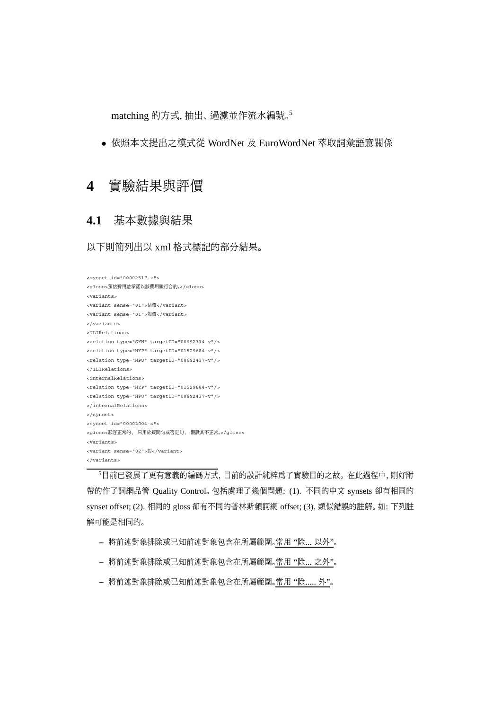matching 的方式, 抽出、過濾並作流水編號。5

• 依照本文提出之模式從 WordNet 及 EuroWordNet 萃取詞彙語意關係

# **4** 實驗結果與評價

### **4.1** 基本數據與結果

以下則簡列出以 xml 格式標記的部分結果。

```
<synset id="00002517-x">
<gloss>預估費用並承諾以該費用履行合約。</gloss>
<variants>
<variant sense="01">估價</variant>
<variant sense="01">報價</variant>
</variants>
<ILIRelations>
<relation type="SYN" targetID="00692314-v"/>
<relation type="HYP" targetID="01529684-v"/>
<relation type="HPO" targetID="00692437-v"/>
</ILIRelations>
<internalRelations>
<relation type="HYP" targetID="01529684-v"/>
<relation type="HPO" targetID="00692437-v"/>
</internalRelations>
</synset>
<synset id="00002004-x">
<gloss>形容正常的, 只用於疑問句或否定句, 假設其不正常。</gloss>
<variants>
<variant sense="02">對</variant>
</variants>
```
<sup>5</sup>目前已發展了更有意義的編碼方式, 目前的設計純粹為了實驗目的之故。 在此過程中, 剛好附 帶的作了詞網品管 Quality Control。 包括處理了幾個問題: (1). 不同的中文 synsets 卻有相同的 synset offset; (2). 相同的 gloss 卻有不同的普林斯頓詞網 offset; (3). 類似錯誤的註解。 如: 下列註 解可能是相同的。

- **–** 將前述對象排除或已知前述對象包含在所屬範圍。常用 "除... 以外"。
- **–** 將前述對象排除或已知前述對象包含在所屬範圍。常用 "除... 之外"。
- **–** 將前述對象排除或已知前述對象包含在所屬範圍。常用 "除..... 外"。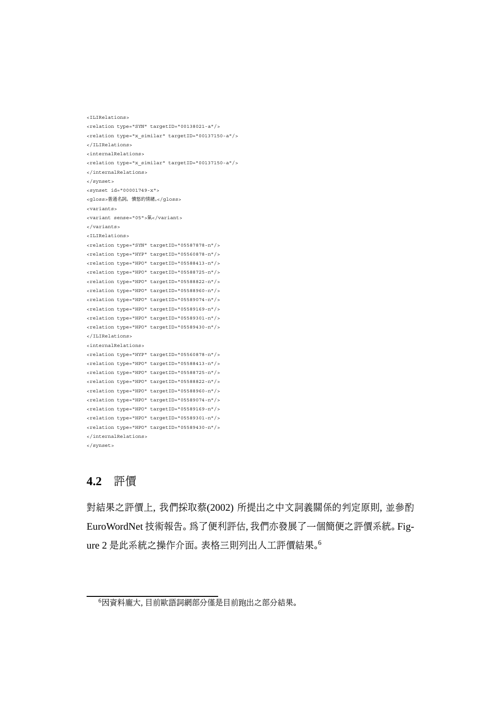```
<ILIRelations>
<relation type="SYN" targetID="00138021-a"/>
<relation type="x_similar" targetID="00137150-a"/>
</ILIRelations>
<internalRelations>
<relation type="x_similar" targetID="00137150-a"/>
</internalRelations>
</synset>
<synset id="00001749-x">
<gloss>普通名詞。 憤怒的情緒。</gloss>
<variants>
<variant sense="05">氣</variant>
</variants>
<ILIRelations>
<relation type="SYN" targetID="05587878-n"/>
<relation type="HYP" targetID="05560878-n"/>
<relation type="HPO" targetID="05588413-n"/>
<relation type="HPO" targetID="05588725-n"/>
<relation type="HPO" targetID="05588822-n"/>
<relation type="HPO" targetID="05588960-n"/>
<relation type="HPO" targetID="05589074-n"/>
<relation type="HPO" targetID="05589169-n"/>
<relation type="HPO" targetID="05589301-n"/>
<relation type="HPO" targetID="05589430-n"/>
</ILIRelations>
<internalRelations>
<relation type="HYP" targetID="05560878-n"/>
<relation type="HPO" targetID="05588413-n"/>
<relation type="HPO" targetID="05588725-n"/>
<relation type="HPO" targetID="05588822-n"/>
<relation type="HPO" targetID="05588960-n"/>
<relation type="HPO" targetID="05589074-n"/>
<relation type="HPO" targetID="05589169-n"/>
<relation type="HPO" targetID="05589301-n"/>
<relation type="HPO" targetID="05589430-n"/>
</internalRelations>
```

```
</synset>
```
### **4.2** 評價

對結果之評價上, 我們採取蔡(2002) 所提出之中文詞義關係的判定原則, 並參酌 EuroWordNet 技術報告。 為了便利評估, 我們亦發展了一個簡便之評價系統。 Figure 2 是此系統之操作介面。 表格三則列出人工評價結果。<sup>6</sup>

<sup>6</sup>因資料龐大, 目前歐語詞網部分僅是目前跑出之部分結果。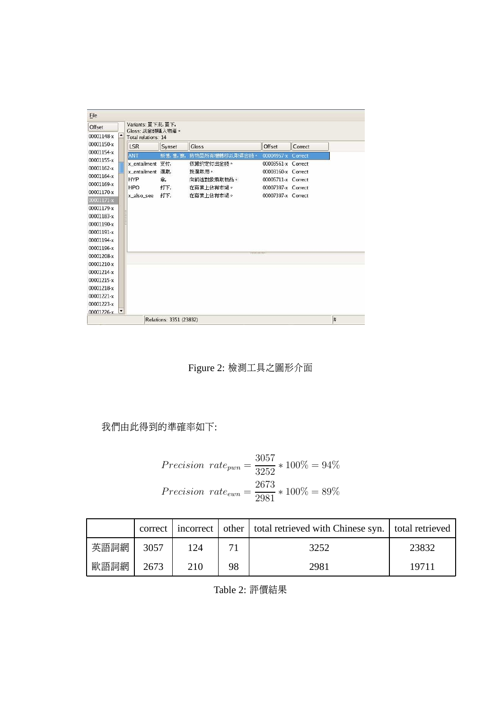| Offset     | Variants: 冒下來, 冒下,       |            |                        |                                          |         |  |  |  |  |  |
|------------|--------------------------|------------|------------------------|------------------------------------------|---------|--|--|--|--|--|
|            | Gloss: 以金錢購入物產。          |            |                        |                                          |         |  |  |  |  |  |
| 00001148-x | Total relations: 14      |            |                        |                                          |         |  |  |  |  |  |
| 00001150-x | <b>LSR</b>               | Synset     | Gloss                  | Offset                                   | Correct |  |  |  |  |  |
| 00001154-x | ANT                      | 販售, 售, 賣,  | 將物品所有權轉移以取得金錢。         | 00004957-x Correct                       |         |  |  |  |  |  |
| 00001155-x | x_entailment 支付,         | 選取,        | 依據約定付出金錢。              | 00003561-x Correct                       |         |  |  |  |  |  |
| 00001162-x | x entailment             |            | 挑選取用。                  | 00003160-x Correct                       |         |  |  |  |  |  |
| 00001164-x | <b>HYP</b>               | 全.         | 向前述對象索取物品。             | 00005711-x Correct                       |         |  |  |  |  |  |
| 00001169-x | <b>HPO</b><br>x_also_see | 打下,<br>打下, | 在商業上佔有市場。<br>在商業上佔有市場。 | 00007397-x Correct<br>00007397-x Correct |         |  |  |  |  |  |
| 00001170-x |                          |            |                        |                                          |         |  |  |  |  |  |
| 00001171-x |                          |            |                        |                                          |         |  |  |  |  |  |
| 00001179-x |                          |            |                        |                                          |         |  |  |  |  |  |
| 00001183-x |                          |            |                        |                                          |         |  |  |  |  |  |
| 00001190-x |                          |            |                        |                                          |         |  |  |  |  |  |
| 00001191-x |                          |            |                        |                                          |         |  |  |  |  |  |
| 00001194-x |                          |            |                        |                                          |         |  |  |  |  |  |
| 00001196-x |                          |            |                        |                                          |         |  |  |  |  |  |
| 00001208-x |                          |            |                        |                                          |         |  |  |  |  |  |
| 00001210-x |                          |            |                        |                                          |         |  |  |  |  |  |
| 00001214-x |                          |            |                        |                                          |         |  |  |  |  |  |
| 00001215-x |                          |            |                        |                                          |         |  |  |  |  |  |
| 00001218-x |                          |            |                        |                                          |         |  |  |  |  |  |
| 00001221-x |                          |            |                        |                                          |         |  |  |  |  |  |
|            |                          |            |                        |                                          |         |  |  |  |  |  |
| 00001223-x |                          |            |                        |                                          |         |  |  |  |  |  |

Figure 2: 檢測工具之圖形介面

## 我們由此得到的準確率如下:

$$
Precision\ rate_{pwn} = \frac{3057}{3252} * 100\% = 94\%
$$
  

$$
Precision\ rate_{ewn} = \frac{2673}{2981} * 100\% = 89\%
$$

|      |      |     |    | correct   incorrect   other   total retrieved with Chinese syn.   total retrieved |       |
|------|------|-----|----|-----------------------------------------------------------------------------------|-------|
| 英語詞網 | 3057 | 124 | 71 | 3252                                                                              | 23832 |
| 歐語詞網 | 2673 | 210 | 98 | 2981                                                                              | 19711 |

Table 2: 評價結果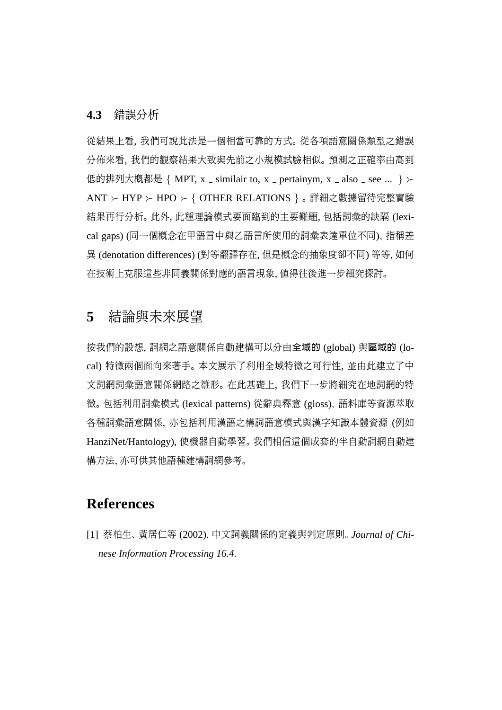#### **4.3** 錯誤分析

從結果上看, 我們可說此法是一個相當可靠的方式。 從各項語意關係類型之錯誤 分佈來看, 我們的觀察結果大致與先前之小規模試驗相似。 預測之正確率由高到 低的排列大概都是 { MPT, x \_ similair to, x \_ pertainym, x \_ also \_ see ... }  $\succ$ ANT ≻ HYP ≻ HPO ≻ { OTHER RELATIONS } 。 詳細之數據留待完整實驗 結果再行分析。 此外, 此種理論模式要面臨到的主要難題, 包括詞彙的缺隔 (lexical gaps) (同一個概念在甲語言中與乙語言所使用的詞彙表達單位不同)、 指稱差 異 (denotation differences) (對等翻譯存在, 但是概念的抽象度卻不同) 等等, 如何 在技術上克服這些非同義關係對應的語言現象, 值得往後進一步細究探討。

# **5** 結論與未來展望

按我們的設想, 詞網之語意關係自動建構可以分由全域的 (global) 與區域的 (local) 特徵兩個面向來著手。 本文展示了利用全域特徵之可行性, 並由此建立了中 文詞網詞彙語意關係網路之雛形。 在此基礎上, 我們下一步將細究在地詞網的特 徵。 包括利用詞彙模式 (lexical patterns) 從辭典釋意 (gloss)、 語料庫等資源萃取 各種詞彙語意關係, 亦包括利用漢語之構詞語意模式與漢字知識本體資源 (例如 HanziNet/Hantology), 使機器自動學習。 我們相信這個成套的半自動詞網自動建 構方法, 亦可供其他語種建構詞網參考。

# **References**

[1] 蔡柏生、 黃居仁等 (2002). 中文詞義關係的定義與判定原則。 *Journal of Chinese Information Processing 16.4*.